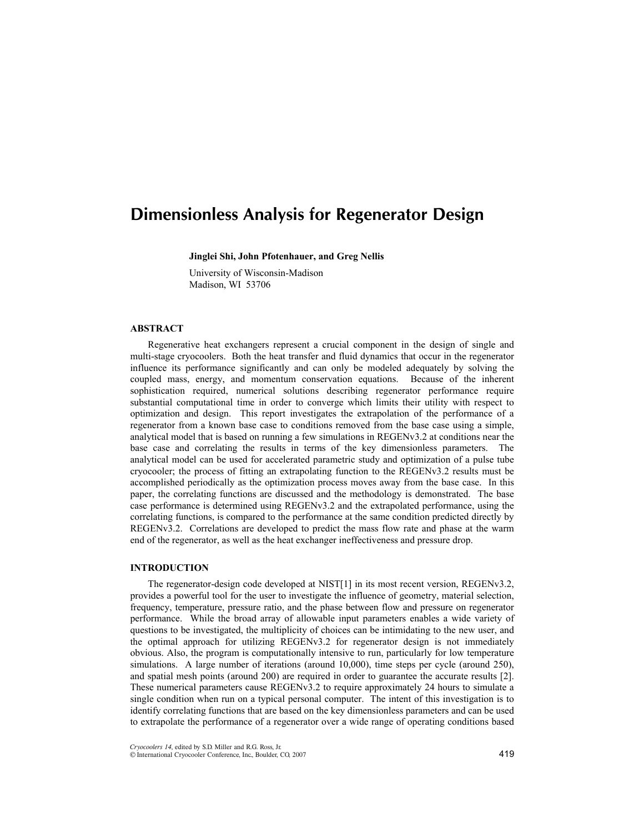# Dimensionless Analysis for Regenerator Design

**Jinglei Shi, John Pfotenhauer, and Greg Nellis** 

University of Wisconsin-Madison Madison, WI 53706

## **ABSTRACT**

Regenerative heat exchangers represent a crucial component in the design of single and multi-stage cryocoolers. Both the heat transfer and fluid dynamics that occur in the regenerator influence its performance significantly and can only be modeled adequately by solving the coupled mass, energy, and momentum conservation equations. Because of the inherent sophistication required, numerical solutions describing regenerator performance require substantial computational time in order to converge which limits their utility with respect to optimization and design. This report investigates the extrapolation of the performance of a regenerator from a known base case to conditions removed from the base case using a simple, analytical model that is based on running a few simulations in REGENv3.2 at conditions near the base case and correlating the results in terms of the key dimensionless parameters. The analytical model can be used for accelerated parametric study and optimization of a pulse tube cryocooler; the process of fitting an extrapolating function to the REGENv3.2 results must be accomplished periodically as the optimization process moves away from the base case. In this paper, the correlating functions are discussed and the methodology is demonstrated. The base case performance is determined using REGENv3.2 and the extrapolated performance, using the correlating functions, is compared to the performance at the same condition predicted directly by REGENv3.2. Correlations are developed to predict the mass flow rate and phase at the warm end of the regenerator, as well as the heat exchanger ineffectiveness and pressure drop.

# **INTRODUCTION**

The regenerator-design code developed at NIST[1] in its most recent version, REGENv3.2, provides a powerful tool for the user to investigate the influence of geometry, material selection, frequency, temperature, pressure ratio, and the phase between flow and pressure on regenerator performance. While the broad array of allowable input parameters enables a wide variety of questions to be investigated, the multiplicity of choices can be intimidating to the new user, and the optimal approach for utilizing REGENv3.2 for regenerator design is not immediately obvious. Also, the program is computationally intensive to run, particularly for low temperature simulations. A large number of iterations (around 10,000), time steps per cycle (around 250), and spatial mesh points (around 200) are required in order to guarantee the accurate results [2]. These numerical parameters cause REGENv3.2 to require approximately 24 hours to simulate a single condition when run on a typical personal computer. The intent of this investigation is to identify correlating functions that are based on the key dimensionless parameters and can be used to extrapolate the performance of a regenerator over a wide range of operating conditions based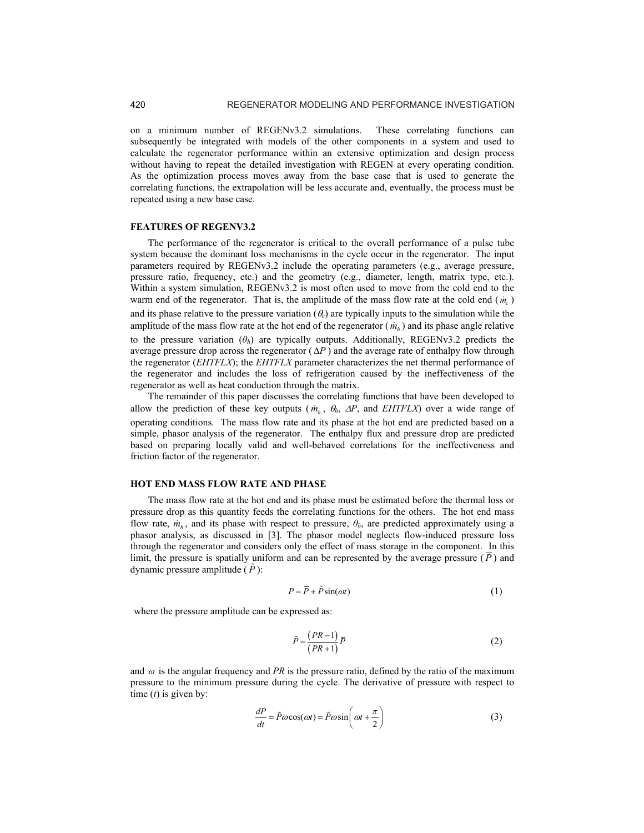on a minimum number of REGENv3.2 simulations. These correlating functions can subsequently be integrated with models of the other components in a system and used to calculate the regenerator performance within an extensive optimization and design process without having to repeat the detailed investigation with REGEN at every operating condition. As the optimization process moves away from the base case that is used to generate the correlating functions, the extrapolation will be less accurate and, eventually, the process must be repeated using a new base case.

#### **FEATURES OF REGENV3.2**

The performance of the regenerator is critical to the overall performance of a pulse tube system because the dominant loss mechanisms in the cycle occur in the regenerator. The input parameters required by REGENv3.2 include the operating parameters (e.g., average pressure, pressure ratio, frequency, etc.) and the geometry (e.g., diameter, length, matrix type, etc.). Within a system simulation, REGENv3.2 is most often used to move from the cold end to the warm end of the regenerator. That is, the amplitude of the mass flow rate at the cold end  $(m_c)$ and its phase relative to the pressure variation  $(\theta_c)$  are typically inputs to the simulation while the amplitude of the mass flow rate at the hot end of the regenerator  $(m_h)$  and its phase angle relative to the pressure variation  $(\theta_h)$  are typically outputs. Additionally, REGENv3.2 predicts the average pressure drop across the regenerator  $(\Delta P)$  and the average rate of enthalpy flow through the regenerator (*EHTFLX*); the *EHTFLX* parameter characterizes the net thermal performance of the regenerator and includes the loss of refrigeration caused by the ineffectiveness of the regenerator as well as heat conduction through the matrix.

The remainder of this paper discusses the correlating functions that have been developed to allow the prediction of these key outputs ( $\dot{m}_h$ ,  $\theta_h$ ,  $\Delta P$ , and *EHTFLX*) over a wide range of operating conditions. The mass flow rate and its phase at the hot end are predicted based on a simple, phasor analysis of the regenerator. The enthalpy flux and pressure drop are predicted based on preparing locally valid and well-behaved correlations for the ineffectiveness and friction factor of the regenerator.

# **HOT END MASS FLOW RATE AND PHASE**

The mass flow rate at the hot end and its phase must be estimated before the thermal loss or pressure drop as this quantity feeds the correlating functions for the others. The hot end mass flow rate,  $\dot{m}_h$ , and its phase with respect to pressure,  $\theta_h$ , are predicted approximately using a phasor analysis, as discussed in [3]. The phasor model neglects flow-induced pressure loss through the regenerator and considers only the effect of mass storage in the component. In this limit, the pressure is spatially uniform and can be represented by the average pressure  $(\overline{P})$  and dynamic pressure amplitude  $(\tilde{P})$ :

$$
P = \overline{P} + \tilde{P}\sin(\omega t) \tag{1}
$$

where the pressure amplitude can be expressed as:

$$
\tilde{P} = \frac{(PR-1)}{(PR+1)}\overline{P}
$$
\n(2)

and  $\omega$  is the angular frequency and *PR* is the pressure ratio, defined by the ratio of the maximum pressure to the minimum pressure during the cycle. The derivative of pressure with respect to time (*t*) is given by:

$$
\frac{dP}{dt} = \tilde{P}\omega\cos(\omega t) = \tilde{P}\omega\sin\left(\omega t + \frac{\pi}{2}\right)
$$
\n(3)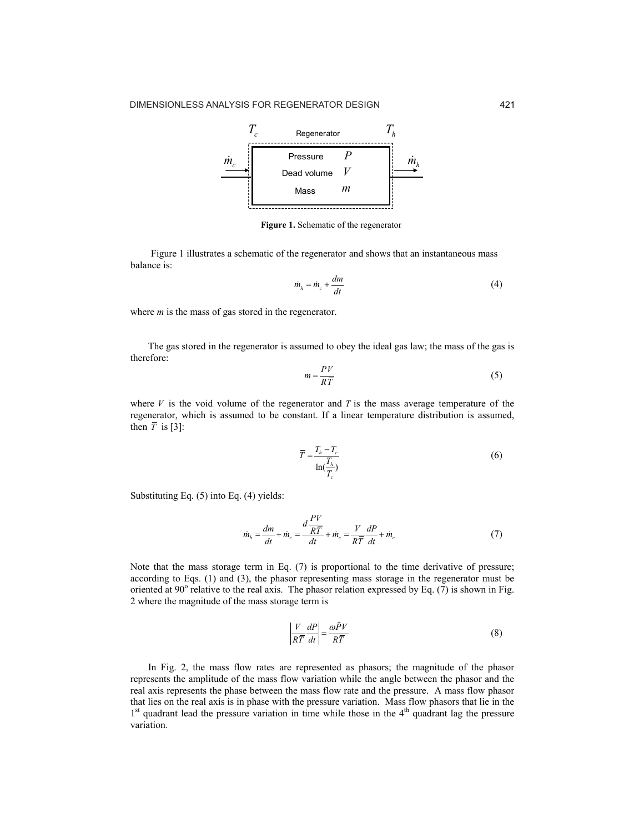

**Figure 1.** Schematic of the regenerator

Figure 1 illustrates a schematic of the regenerator and shows that an instantaneous mass balance is:

$$
\dot{m}_h = \dot{m}_c + \frac{dm}{dt} \tag{4}
$$

where *m* is the mass of gas stored in the regenerator.

The gas stored in the regenerator is assumed to obey the ideal gas law; the mass of the gas is therefore:

$$
m = \frac{PV}{R\overline{T}}\tag{5}
$$

where  $V$  is the void volume of the regenerator and  $T$  is the mass average temperature of the regenerator, which is assumed to be constant. If a linear temperature distribution is assumed, then  $\overline{T}$  is [3]:

$$
\overline{T} = \frac{T_h - T_c}{\ln(\frac{T_h}{T_c})}
$$
\n(6)

Substituting Eq. (5) into Eq. (4) yields:

$$
\dot{m}_h = \frac{dm}{dt} + \dot{m}_c = \frac{d\frac{PV}{R\overline{T}}}{dt} + \dot{m}_c = \frac{V}{R\overline{T}}\frac{dP}{dt} + \dot{m}_c
$$
\n(7)

Note that the mass storage term in Eq. (7) is proportional to the time derivative of pressure; according to Eqs. (1) and (3), the phasor representing mass storage in the regenerator must be oriented at 90 $^{\circ}$  relative to the real axis. The phasor relation expressed by Eq. (7) is shown in Fig. 2 where the magnitude of the mass storage term is

$$
\left|\frac{V}{R\overline{T}}\frac{dP}{dt}\right| = \frac{\omega\tilde{P}V}{R\overline{T}}\tag{8}
$$

In Fig. 2, the mass flow rates are represented as phasors; the magnitude of the phasor represents the amplitude of the mass flow variation while the angle between the phasor and the real axis represents the phase between the mass flow rate and the pressure. A mass flow phasor that lies on the real axis is in phase with the pressure variation. Mass flow phasors that lie in the  $1<sup>st</sup>$  quadrant lead the pressure variation in time while those in the  $4<sup>th</sup>$  quadrant lag the pressure variation.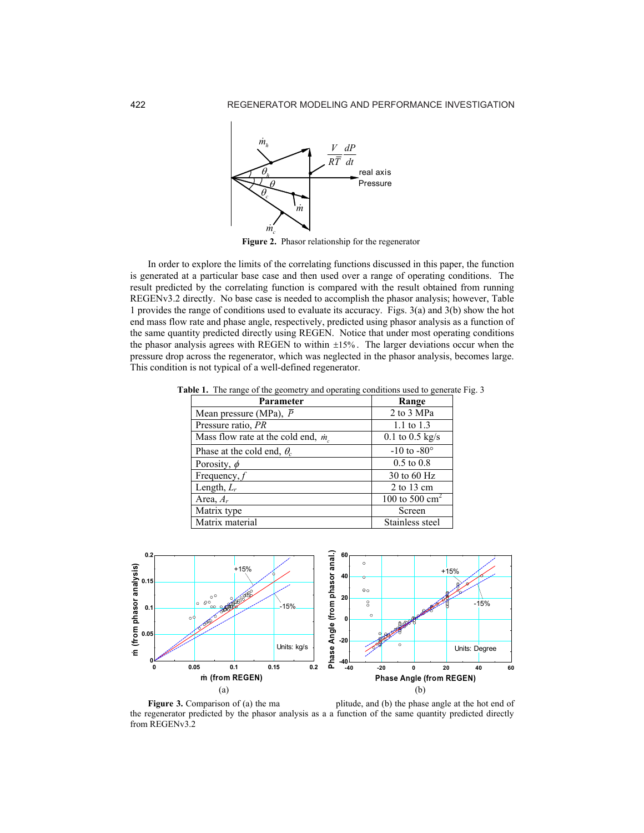

**Figure 2.** Phasor relationship for the regenerator

In order to explore the limits of the correlating functions discussed in this paper, the function is generated at a particular base case and then used over a range of operating conditions. The result predicted by the correlating function is compared with the result obtained from running REGENv3.2 directly. No base case is needed to accomplish the phasor analysis; however, Table 1 provides the range of conditions used to evaluate its accuracy. Figs. 3(a) and 3(b) show the hot end mass flow rate and phase angle, respectively, predicted using phasor analysis as a function of the same quantity predicted directly using REGEN. Notice that under most operating conditions the phasor analysis agrees with REGEN to within ±15% . The larger deviations occur when the pressure drop across the regenerator, which was neglected in the phasor analysis, becomes large. This condition is not typical of a well-defined regenerator.

| Parameter                                   | Range                    |
|---------------------------------------------|--------------------------|
| Mean pressure (MPa), $\overline{P}$         | 2 to 3 MPa               |
| Pressure ratio, PR                          | 1.1 to $1.3$             |
| Mass flow rate at the cold end, $\dot{m}_s$ | $0.1$ to $0.5$ kg/s      |
| Phase at the cold end, $\theta_c$           | $-10$ to $-80^{\circ}$   |
| Porosity, $\phi$                            | $0.5 \text{ to } 0.8$    |
| Frequency, $f$                              | 30 to 60 $Hz$            |
| Length, $L_r$                               | $2$ to 13 cm             |
| Area, $A_r$                                 | 100 to 500 $\text{cm}^2$ |
| Matrix type                                 | Screen                   |
| Matrix material                             | Stainless steel          |

**Table 1.** The range of the geometry and operating conditions used to generate Fig. 3



**Figure 3.** Comparison of (a) the ma plitude, and (b) the phase angle at the hot end of the regenerator predicted by the phasor analysis as a a function of the same quantity predicted directly from REGENv3.2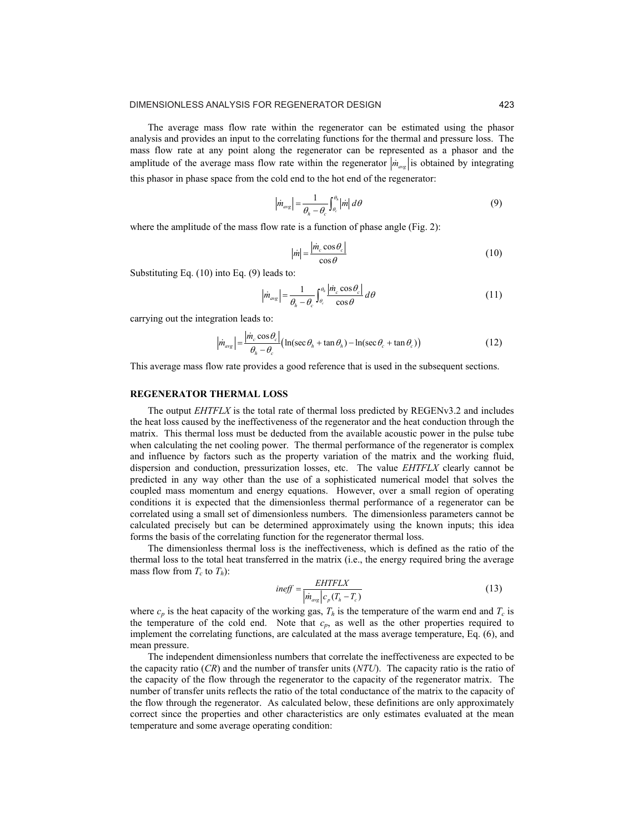The average mass flow rate within the regenerator can be estimated using the phasor analysis and provides an input to the correlating functions for the thermal and pressure loss. The mass flow rate at any point along the regenerator can be represented as a phasor and the amplitude of the average mass flow rate within the regenerator  $|\dot{m}_{av}\rangle$  is obtained by integrating this phasor in phase space from the cold end to the hot end of the regenerator:

$$
\left|\dot{m}_{\text{avg}}\right| = \frac{1}{\theta_h - \theta_c} \int_{\theta_c}^{\theta_h} \left|\dot{m}\right| \, d\theta \tag{9}
$$

where the amplitude of the mass flow rate is a function of phase angle (Fig. 2):

$$
|\dot{m}| = \frac{|\dot{m}_c \cos \theta_c|}{\cos \theta} \tag{10}
$$

Substituting Eq. (10) into Eq. (9) leads to:

$$
\left|\dot{m}_{\text{avg}}\right| = \frac{1}{\theta_h - \theta_c} \int_{\theta_c}^{\theta_h} \frac{\left|\dot{m}_c \cos \theta_c\right|}{\cos \theta} \, d\theta \tag{11}
$$

carrying out the integration leads to:

$$
\left| \dot{m}_{avg} \right| = \frac{\left| \dot{m}_c \cos \theta_c \right|}{\theta_h - \theta_c} \left( \ln(\sec \theta_h + \tan \theta_h) - \ln(\sec \theta_c + \tan \theta_c) \right) \tag{12}
$$

This average mass flow rate provides a good reference that is used in the subsequent sections.

## **REGENERATOR THERMAL LOSS**

The output *EHTFLX* is the total rate of thermal loss predicted by REGENv3.2 and includes the heat loss caused by the ineffectiveness of the regenerator and the heat conduction through the matrix. This thermal loss must be deducted from the available acoustic power in the pulse tube when calculating the net cooling power. The thermal performance of the regenerator is complex and influence by factors such as the property variation of the matrix and the working fluid, dispersion and conduction, pressurization losses, etc. The value *EHTFLX* clearly cannot be predicted in any way other than the use of a sophisticated numerical model that solves the coupled mass momentum and energy equations. However, over a small region of operating conditions it is expected that the dimensionless thermal performance of a regenerator can be correlated using a small set of dimensionless numbers. The dimensionless parameters cannot be calculated precisely but can be determined approximately using the known inputs; this idea forms the basis of the correlating function for the regenerator thermal loss.

The dimensionless thermal loss is the ineffectiveness, which is defined as the ratio of the thermal loss to the total heat transferred in the matrix (i.e., the energy required bring the average mass flow from  $T_c$  to  $T_h$ ):

$$
ineff = \frac{EHTFLX}{\left|\dot{m}_{\text{avg}}\right|c_p(T_h - T_c)}
$$
\n(13)

where  $c_p$  is the heat capacity of the working gas,  $T_h$  is the temperature of the warm end and  $T_c$  is the temperature of the cold end. Note that  $c_p$ , as well as the other properties required to implement the correlating functions, are calculated at the mass average temperature, Eq. (6), and mean pressure.

The independent dimensionless numbers that correlate the ineffectiveness are expected to be the capacity ratio (*CR*) and the number of transfer units (*NTU*). The capacity ratio is the ratio of the capacity of the flow through the regenerator to the capacity of the regenerator matrix. The number of transfer units reflects the ratio of the total conductance of the matrix to the capacity of the flow through the regenerator. As calculated below, these definitions are only approximately correct since the properties and other characteristics are only estimates evaluated at the mean temperature and some average operating condition: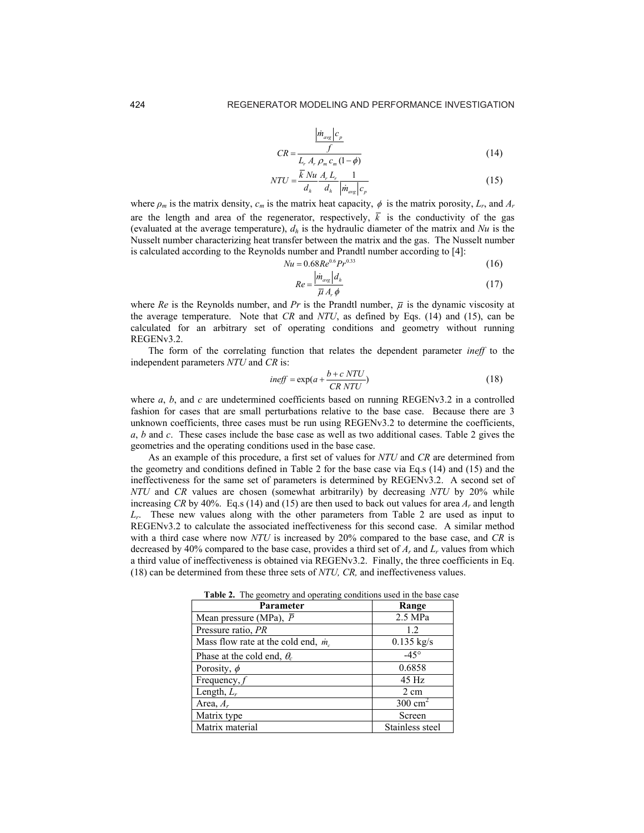$$
NTU = \frac{\overline{k} Nu}{d_h} \frac{A_r L_r}{d_h} \frac{1}{\left| \dot{m}_{avg} \right| c_p} \tag{15}
$$

where  $\rho_m$  is the matrix density,  $c_m$  is the matrix heat capacity,  $\phi$  is the matrix porosity,  $L_r$ , and  $A_r$ are the length and area of the regenerator, respectively,  $\overline{k}$  is the conductivity of the gas (evaluated at the average temperature),  $d<sub>h</sub>$  is the hydraulic diameter of the matrix and *Nu* is the Nusselt number characterizing heat transfer between the matrix and the gas. The Nusselt number is calculated according to the Reynolds number and Prandtl number according to [4]:

$$
Nu = 0.68Re^{0.6}Pr^{0.33}
$$
 (16)

$$
Re = \frac{|m_{\text{avg}}|d_h}{\overline{\mu} A_r \phi} \tag{17}
$$

where *Re* is the Reynolds number, and *Pr* is the Prandtl number,  $\bar{u}$  is the dynamic viscosity at the average temperature. Note that *CR* and *NTU*, as defined by Eqs. (14) and (15), can be calculated for an arbitrary set of operating conditions and geometry without running REGENv3.2.

The form of the correlating function that relates the dependent parameter *ineff* to the independent parameters *NTU* and *CR* is:

$$
ineff = \exp(a + \frac{b + c \, NTU}{CR \, NTU})\tag{18}
$$

where *a*, *b*, and *c* are undetermined coefficients based on running REGENv3.2 in a controlled fashion for cases that are small perturbations relative to the base case. Because there are 3 unknown coefficients, three cases must be run using REGENv3.2 to determine the coefficients, *a*, *b* and *c*. These cases include the base case as well as two additional cases. Table 2 gives the geometries and the operating conditions used in the base case.

As an example of this procedure, a first set of values for *NTU* and *CR* are determined from the geometry and conditions defined in Table 2 for the base case via Eq.s (14) and (15) and the ineffectiveness for the same set of parameters is determined by REGENv3.2. A second set of *NTU* and *CR* values are chosen (somewhat arbitrarily) by decreasing *NTU* by 20% while increasing *CR* by 40%. Eq.s (14) and (15) are then used to back out values for area  $A<sub>r</sub>$  and length *Lr*. These new values along with the other parameters from Table 2 are used as input to REGENv3.2 to calculate the associated ineffectiveness for this second case. A similar method with a third case where now *NTU* is increased by 20% compared to the base case, and *CR* is decreased by 40% compared to the base case, provides a third set of *Ar* and *Lr* values from which a third value of ineffectiveness is obtained via REGENv3.2. Finally, the three coefficients in Eq. (18) can be determined from these three sets of *NTU, CR,* and ineffectiveness values.

**Table 2.** The geometry and operating conditions used in the base case

| <b>Parameter</b>                            | Range                |
|---------------------------------------------|----------------------|
| Mean pressure (MPa), $\overline{P}$         | $2.5$ MPa            |
| Pressure ratio, PR                          | 12                   |
| Mass flow rate at the cold end, $\dot{m}_c$ | $0.135 \text{ kg/s}$ |
| Phase at the cold end, $\theta_c$           | $-45^\circ$          |
| Porosity, $\phi$                            | 0.6858               |
| Frequency, $f$                              | 45 Hz                |
| Length, $L_r$                               | 2 cm                 |
| Area, $A_r$                                 | $300 \text{ cm}^2$   |
| Matrix type                                 | Screen               |
| Matrix material                             | Stainless steel      |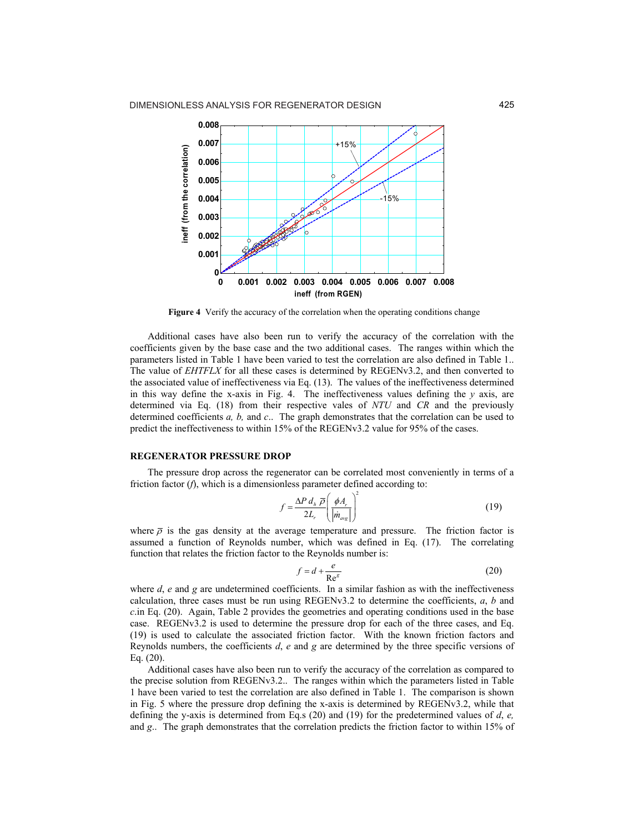

**Figure 4** Verify the accuracy of the correlation when the operating conditions change

Additional cases have also been run to verify the accuracy of the correlation with the coefficients given by the base case and the two additional cases. The ranges within which the parameters listed in Table 1 have been varied to test the correlation are also defined in Table 1.. The value of *EHTFLX* for all these cases is determined by REGENv3.2, and then converted to the associated value of ineffectiveness via Eq. (13). The values of the ineffectiveness determined in this way define the x-axis in Fig. 4. The ineffectiveness values defining the  $\nu$  axis, are determined via Eq. (18) from their respective vales of *NTU* and *CR* and the previously determined coefficients *a, b,* and *c*.. The graph demonstrates that the correlation can be used to predict the ineffectiveness to within 15% of the REGENv3.2 value for 95% of the cases.

#### **REGENERATOR PRESSURE DROP**

The pressure drop across the regenerator can be correlated most conveniently in terms of a friction factor (*f*), which is a dimensionless parameter defined according to:

$$
f = \frac{\Delta P \, d_h \, \overline{\rho}}{2L_r} \left( \frac{\phi A_r}{| \dot{m}_{\text{avg}} |} \right)^2 \tag{19}
$$

where  $\bar{\rho}$  is the gas density at the average temperature and pressure. The friction factor is assumed a function of Reynolds number, which was defined in Eq. (17). The correlating function that relates the friction factor to the Reynolds number is:

$$
f = d + \frac{e}{\text{Re}^s} \tag{20}
$$

where *d*, *e* and *g* are undetermined coefficients. In a similar fashion as with the ineffectiveness calculation, three cases must be run using REGENv3.2 to determine the coefficients, *a*, *b* and *c*.in Eq. (20). Again, Table 2 provides the geometries and operating conditions used in the base case. REGENv3.2 is used to determine the pressure drop for each of the three cases, and Eq. (19) is used to calculate the associated friction factor. With the known friction factors and Reynolds numbers, the coefficients *d*, *e* and *g* are determined by the three specific versions of Eq. (20).

Additional cases have also been run to verify the accuracy of the correlation as compared to the precise solution from REGENv3.2.. The ranges within which the parameters listed in Table 1 have been varied to test the correlation are also defined in Table 1. The comparison is shown in Fig. 5 where the pressure drop defining the x-axis is determined by REGENv3.2, while that defining the y-axis is determined from Eq.s (20) and (19) for the predetermined values of *d*, *e,*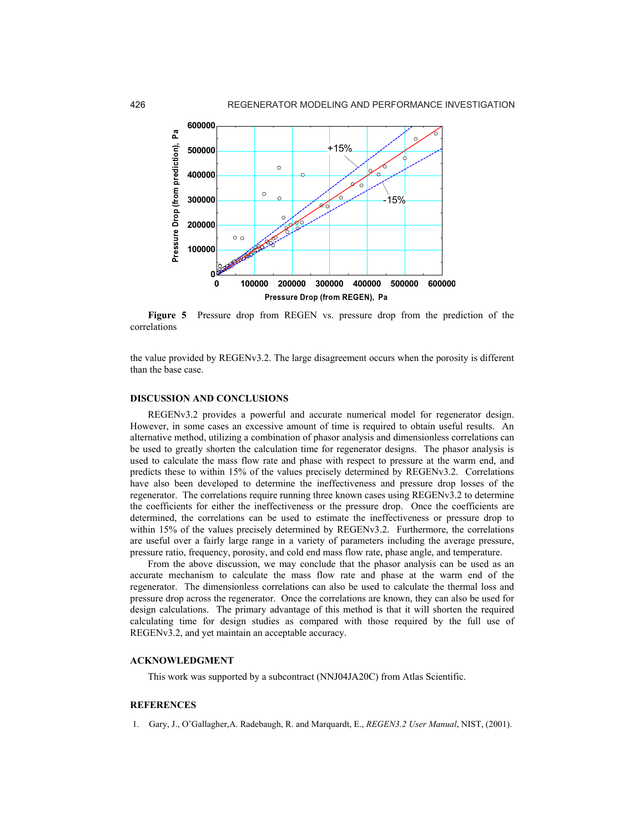

**Figure 5** Pressure drop from REGEN vs. pressure drop from the prediction of the correlations

the value provided by REGENv3.2. The large disagreement occurs when the porosity is different than the base case.

# **DISCUSSION AND CONCLUSIONS**

REGENv3.2 provides a powerful and accurate numerical model for regenerator design. However, in some cases an excessive amount of time is required to obtain useful results. An alternative method, utilizing a combination of phasor analysis and dimensionless correlations can be used to greatly shorten the calculation time for regenerator designs. The phasor analysis is used to calculate the mass flow rate and phase with respect to pressure at the warm end, and predicts these to within 15% of the values precisely determined by REGENv3.2. Correlations have also been developed to determine the ineffectiveness and pressure drop losses of the regenerator. The correlations require running three known cases using REGENv3.2 to determine the coefficients for either the ineffectiveness or the pressure drop. Once the coefficients are determined, the correlations can be used to estimate the ineffectiveness or pressure drop to within 15% of the values precisely determined by REGENv3.2. Furthermore, the correlations are useful over a fairly large range in a variety of parameters including the average pressure, pressure ratio, frequency, porosity, and cold end mass flow rate, phase angle, and temperature. 4. Gary<br>
1. Gary, J., Of Gary, J., Of Gary, H., Of Gary, H. C. C. (Signal and Archivestor C. A. Radebaugh, R. and Marquardt, F., *REGEN3.2* 2 User Marquardt Control and Marquardt Control and Marquardt Control and Marquar

From the above discussion, we may conclude that the phasor analysis can be used as an accurate mechanism to calculate the mass flow rate and phase at the warm end of the regenerator. The dimensionless correlations can also be used to calculate the thermal loss and pressure drop across the regenerator. Once the correlations are known, they can also be used for design calculations. The primary advantage of this method is that it will shorten the required calculating time for design studies as compared with those required by the full use of REGENv3.2, and yet maintain an acceptable accuracy.

## **ACKNOWLEDGMENT**

This work was supported by a subcontract (NNJ04JA20C) from Atlas Scientific.

#### **REFERENCES**